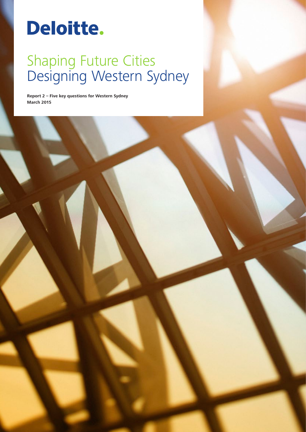# Deloitte.

## Shaping Future Cities Designing Western Sydney

**Report 2 – Five key questions for Western Sydney March 2015**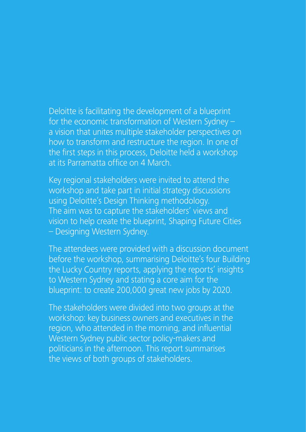Deloitte is facilitating the development of a blueprint for the economic transformation of Western Sydney – a vision that unites multiple stakeholder perspectives on how to transform and restructure the region. In one of the first steps in this process, Deloitte held a workshop at its Parramatta office on 4 March.

Key regional stakeholders were invited to attend the workshop and take part in initial strategy discussions using Deloitte's Design Thinking methodology. The aim was to capture the stakeholders' views and vision to help create the blueprint, Shaping Future Cities – Designing Western Sydney.

The attendees were provided with a discussion document before the workshop, summarising Deloitte's four Building the Lucky Country reports, applying the reports' insights to Western Sydney and stating a core aim for the blueprint: to create 200,000 great new jobs by 2020.

The stakeholders were divided into two groups at the workshop: key business owners and executives in the region, who attended in the morning, and influential Western Sydney public sector policy-makers and politicians in the afternoon. This report summarises the views of both groups of stakeholders.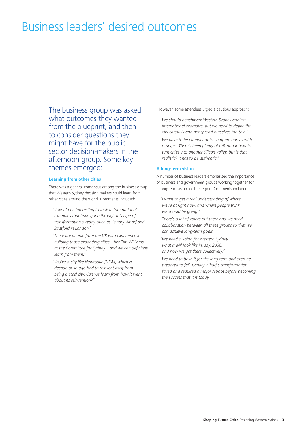## Business leaders' desired outcomes

The business group was asked what outcomes they wanted from the blueprint, and then to consider questions they might have for the public sector decision-makers in the afternoon group. Some key themes emerged:

#### **Learning from other cities**

There was a general consensus among the business group that Western Sydney decision makers could learn from other cities around the world. Comments included:

- *"It would be interesting to look at international examples that have gone through this type of transformation already, such as Canary Wharf and Stratford in London."*
- *"There are people from the UK with experience in building those expanding cities – like Tim Williams at the Committee for Sydney – and we can definitely learn from them."*
- *"You've a city like Newcastle [NSW], which a decade or so ago had to reinvent itself from being a steel city. Can we learn from how it went about its reinvention?"*

However, some attendees urged a cautious approach:

- *"We should benchmark Western Sydney against international examples, but we need to define the city carefully and not spread ourselves too thin."*
- *"We have to be careful not to compare apples with oranges. There's been plenty of talk about how to turn cities into another Silicon Valley, but is that realistic? It has to be authentic."*

#### **A long-term vision**

A number of business leaders emphasised the importance of business and government groups working together for a long-term vision for the region. Comments included:

- *"I want to get a real understanding of where we're at right now, and where people think we should be going."*
- *"There's a lot of voices out there and we need collaboration between all these groups so that we can achieve long-term goals."*
- *"We need a vision for Western Sydney what it will look like in, say, 2030, and how we get there collectively."*
- *"We need to be in it for the long term and even be prepared to fail. Canary Wharf's transformation failed and required a major reboot before becoming the success that it is today."*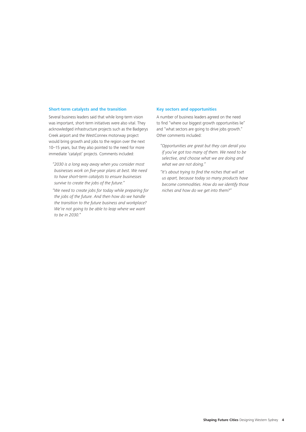#### **Short-term catalysts and the transition**

Several business leaders said that while long-term vision was important, short-term initiatives were also vital. They acknowledged infrastructure projects such as the Badgerys Creek airport and the WestConnex motorway project would bring growth and jobs to the region over the next 10–15 years, but they also pointed to the need for more immediate 'catalyst' projects. Comments included:

- *"2030 is a long way away when you consider most businesses work on five-year plans at best. We need to have short-term catalysts to ensure businesses survive to create the jobs of the future."*
- *"We need to create jobs for today while preparing for the jobs of the future. And then how do we handle the transition to the future business and workplace? We're not going to be able to leap where we want to be in 2030."*

#### **Key sectors and opportunities**

A number of business leaders agreed on the need to find "where our biggest growth opportunities lie" and "what sectors are going to drive jobs growth." Other comments included:

- *"Opportunities are great but they can derail you if you've got too many of them. We need to be selective, and choose what we are doing and what we are not doing."*
- *"It's about trying to find the niches that will set us apart, because today so many products have become commodities. How do we identify those niches and how do we get into them?"*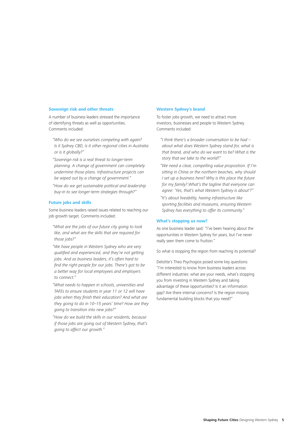#### **Sovereign risk and other threats**

A number of business leaders stressed the importance of identifying threats as well as opportunities. Comments included:

*"Who do we see ourselves competing with again? Is it Sydney CBD, is it other regional cities in Australia or is it globally?"*

*"Sovereign risk is a real threat to longer-term planning. A change of government can completely undermine those plans. Infrastructure projects can be wiped out by a change of government."*

*"How do we get sustainable political and leadership buy-in to see longer-term strategies through?"*

#### **Future jobs and skills**

Some business leaders raised issues related to reaching our job growth target. Comments included:

- *"What are the jobs of our future city going to look like, and what are the skills that are required for those jobs?"*
- *"We have people in Western Sydney who are very qualified and experienced, and they're not getting jobs. And as business leaders, it's often hard to find the right people for our jobs. There's got to be a better way for local employees and employers to connect."*
- *"What needs to happen in schools, universities and TAFEs to ensure students in year 11 or 12 will have jobs when they finish their education? And what are they going to do in 10–15 years' time? How are they going to transition into new jobs?"*

*"How do we build the skills in our residents, because if those jobs are going out of Western Sydney, that's going to affect our growth."*

#### **Western Sydney's brand**

To foster jobs growth, we need to attract more investors, businesses and people to Western Sydney. Comments included:

- *"I think there's a broader conversation to be had about what does Western Sydney stand for, what is that brand, and who do we want to be? What is the story that we take to the world?"*
- *"We need a clear, compelling value proposition. If I'm sitting in China or the northern beaches, why should I set up a business here? Why is this place the future for my family? What's the tagline that everyone can agree: 'Yes, that's what Western Sydney is about'?"*
- *"It's about liveability, having infrastructure like sporting facilities and museums, ensuring Western Sydney has everything to offer its community."*

#### **What's stopping us now?**

As one business leader said: "I've been hearing about the opportunities in Western Sydney for years, but I've never really seen them come to fruition."

So what is stopping the region from reaching its potential?

Deloitte's Theo Psychogios posed some key questions: "I'm interested to know from business leaders across different industries: what are your needs, what's stopping you from investing in Western Sydney and taking advantage of these opportunities? Is it an information gap? Are there internal concerns? Is the region missing fundamental building blocks that you need?"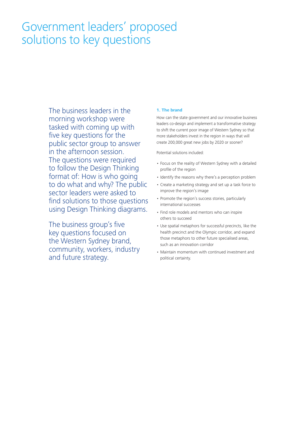## Government leaders' proposed solutions to key questions

The business leaders in the morning workshop were tasked with coming up with five key questions for the public sector group to answer in the afternoon session. The questions were required to follow the Design Thinking format of: How is who going to do what and why? The public sector leaders were asked to find solutions to those questions using Design Thinking diagrams.

The business group's five key questions focused on the Western Sydney brand, community, workers, industry and future strategy.

#### **1. The brand**

How can the state government and our innovative business leaders co-design and implement a transformative strategy to shift the current poor image of Western Sydney so that more stakeholders invest in the region in ways that will create 200,000 great new jobs by 2020 or sooner?

Potential solutions included:

- Focus on the reality of Western Sydney with a detailed profile of the region
- Identify the reasons why there's a perception problem
- Create a marketing strategy and set up a task force to improve the region's image
- Promote the region's success stories, particularly international successes
- Find role models and mentors who can inspire others to succeed
- Use spatial metaphors for successful precincts, like the health precinct and the Olympic corridor, and expand those metaphors to other future specialised areas, such as an innovation corridor
- Maintain momentum with continued investment and political certainty.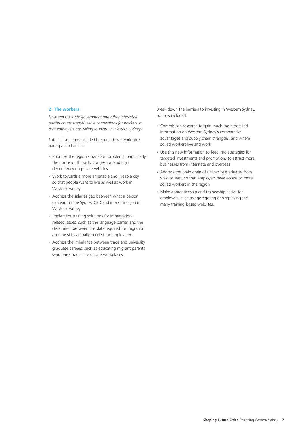#### **2. The workers**

*How can the state government and other interested parties create useful/usable connections for workers so that employers are willing to invest in Western Sydney?*

Potential solutions included breaking down workforce participation barriers:

- Prioritise the region's transport problems, particularly the north-south traffic congestion and high dependency on private vehicles
- Work towards a more amenable and liveable city, so that people want to live as well as work in Western Sydney
- Address the salaries gap between what a person can earn in the Sydney CBD and in a similar job in Western Sydney
- Implement training solutions for immigrationrelated issues, such as the language barrier and the disconnect between the skills required for migration and the skills actually needed for employment
- Address the imbalance between trade and university graduate careers, such as educating migrant parents who think trades are unsafe workplaces.

Break down the barriers to investing in Western Sydney, options included:

- Commission research to gain much more detailed information on Western Sydney's comparative advantages and supply chain strengths, and where skilled workers live and work
- Use this new information to feed into strategies for targeted investments and promotions to attract more businesses from interstate and overseas
- Address the brain drain of university graduates from west to east, so that employers have access to more skilled workers in the region
- Make apprenticeship and traineeship easier for employers, such as aggregating or simplifying the many training-based websites.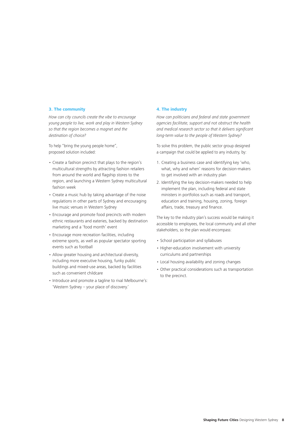#### **3. The community**

*How can city councils create the vibe to encourage young people to live, work and play in Western Sydney so that the region becomes a magnet and the destination of choice?*

To help "bring the young people home", proposed solution included:

- Create a fashion precinct that plays to the region's multicultural strengths by attracting fashion retailers from around the world and flagship stores to the region, and launching a Western Sydney multicultural fashion week
- Create a music hub by taking advantage of the noise regulations in other parts of Sydney and encouraging live music venues in Western Sydney
- Encourage and promote food precincts with modern ethnic restaurants and eateries, backed by destination marketing and a 'food month' event
- Encourage more recreation facilities, including extreme sports, as well as popular spectator sporting events such as football
- Allow greater housing and architectural diversity, including more executive housing, funky public buildings and mixed-use areas, backed by facilities such as convenient childcare
- Introduce and promote a tagline to rival Melbourne's: 'Western Sydney – your place of discovery.'

#### **4. The industry**

*How can politicians and federal and state government agencies facilitate, support and not obstruct the health and medical research sector so that it delivers significant long-term value to the people of Western Sydney?*

To solve this problem, the public sector group designed a campaign that could be applied to any industry, by:

- 1. Creating a business case and identifying key 'who, what, why and when' reasons for decision-makers to get involved with an industry plan
- 2. Identifying the key decision-makers needed to help implement the plan, including federal and state ministers in portfolios such as roads and transport, education and training, housing, zoning, foreign affairs, trade, treasury and finance.

The key to the industry plan's success would be making it accessible to employees, the local community and all other stakeholders, so the plan would encompass:

- School participation and syllabuses
- Higher-education involvement with university curriculums and partnerships
- Local housing availability and zoning changes
- Other practical considerations such as transportation to the precinct.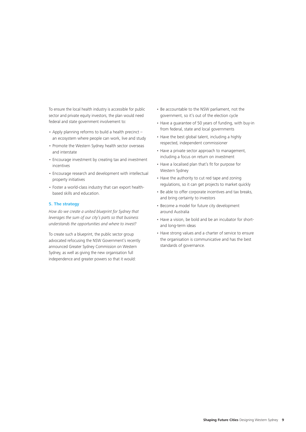To ensure the local health industry is accessible for public sector and private equity investors, the plan would need federal and state government involvement to:

- Apply planning reforms to build a health precinct an ecosystem where people can work, live and study
- Promote the Western Sydney health sector overseas and interstate
- Encourage investment by creating tax and investment incentives
- Encourage research and development with intellectual property initiatives
- Foster a world-class industry that can export healthbased skills and education.

#### **5. The strategy**

*How do we create a united blueprint for Sydney that leverages the sum of our city's parts so that business understands the opportunities and where to invest?*

To create such a blueprint, the public sector group advocated refocusing the NSW Government's recently announced Greater Sydney Commission on Western Sydney, as well as giving the new organisation full independence and greater powers so that it would:

- Be accountable to the NSW parliament, not the government, so it's out of the election cycle
- Have a guarantee of 50 years of funding, with buy-in from federal, state and local governments
- Have the best global talent, including a highly respected, independent commissioner
- Have a private sector approach to management, including a focus on return on investment
- Have a localised plan that's fit for purpose for Western Sydney
- Have the authority to cut red tape and zoning regulations, so it can get projects to market quickly
- Be able to offer corporate incentives and tax breaks, and bring certainty to investors
- Become a model for future city development around Australia
- Have a vision, be bold and be an incubator for shortand long-term ideas
- Have strong values and a charter of service to ensure the organisation is communicative and has the best standards of governance.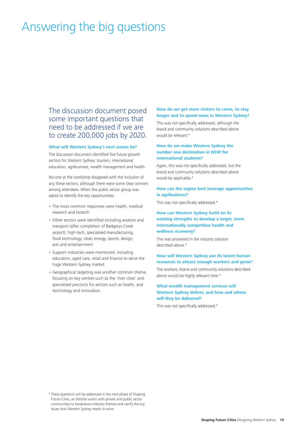## Answering the big questions

The discussion document posed some important questions that need to be addressed if we are to create 200,000 jobs by 2020.

#### **What will Western Sydney's next waves be?**

The discussion document identified five future growth sectors for Western Sydney: tourism, international education, agribusiness, wealth management and health.

No-one at the workshop disagreed with the inclusion of any these sectors, although there were some clear winners among attendees. When the public sector group was asked to identify the key opportunities:

- The most common responses were health, medical research and biotech
- Other sectors were identified including aviation and transport (after completion of Badgerys Creek airport), high-tech, specialised manufacturing, food technology, clean energy, sports, design, arts and entertainment
- Support industries were mentioned, including education, aged care, retail and finance to serve the huge Western Sydney market
- Geographical targeting was another common theme, focusing on key centres such as the 'river cities' and specialised precincts for sectors such as health, and technology and innovation.

#### **How do we get more visitors to come, to stay longer and to spend more in Western Sydney?**

This was not specifically addressed, although the brand and community solutions described above would be relevant.\*

#### **How do we make Western Sydney the number one destination in NSW for international students?**

Again, this was not specifically addressed, but the brand and community solutions described above would be applicable.\*

#### **How can the region best leverage opportunities in agribusiness?**

This was not specifically addressed.\*

#### **How can Western Sydney build on its existing strengths to develop a larger, more internationally competitive health and wellness economy?**

This was answered in the industry solution described above.\*

#### **How will Western Sydney use its latent human resources to attract enough workers and grow?**

The workers, brand and community solutions described above would be highly relevant here.\*

#### **What wealth management services will Western Sydney deliver, and how and where will they be delivered?**

This was not specifically addressed.\*

\* These questions will be addressed in the next phase of Shaping Future Cities, as Deloitte works with private and public sector communities to breakdown industry themes and clarify the key issues that Western Sydney needs to solve.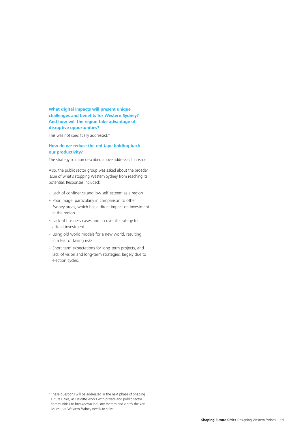#### **What digital impacts will present unique challenges and benefits for Western Sydney? And how will the region take advantage of disruptive opportunities?**

This was not specifically addressed.\*

#### **How do we reduce the red tape holding back our productivity?**

The strategy solution described above addresses this issue.

Also, the public sector group was asked about the broader issue of what's stopping Western Sydney from reaching its potential. Responses included:

- Lack of confidence and low self-esteem as a region
- Poor image, particularly in comparison to other Sydney areas, which has a direct impact on investment in the region
- Lack of business cases and an overall strategy to attract investment
- Using old world models for a new world, resulting in a fear of taking risks
- Short-term expectations for long-term projects, and lack of vision and long-term strategies, largely due to election cycles.

<sup>\*</sup> These questions will be addressed in the next phase of Shaping Future Cities, as Deloitte works with private and public sector communities to breakdown industry themes and clarify the key issues that Western Sydney needs to solve.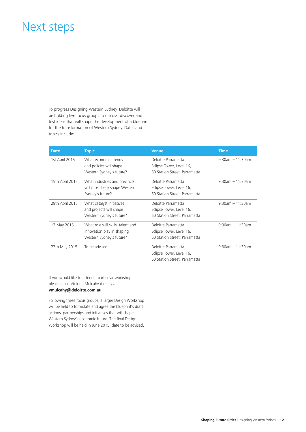### Next steps

To progress Designing Western Sydney, Deloitte will be holding five focus groups to discuss, discover and test ideas that will shape the development of a blueprint for the transformation of Western Sydney. Dates and topics include:

| <b>Date</b>     | <b>Topic</b>                                                                                | <b>Venue</b>                                                                     | <b>Time</b>           |
|-----------------|---------------------------------------------------------------------------------------------|----------------------------------------------------------------------------------|-----------------------|
| 1st April 2015  | What economic trends<br>and policies will shape<br>Western Sydney's future?                 | Deloitte Parramatta<br>Eclipse Tower, Level 16,<br>60 Station Street, Parramatta | $9:30am - 11:30am$    |
| 15th April 2015 | What industries and precincts<br>will most likely shape Western<br>Sydney's future?         | Deloitte Parramatta<br>Eclipse Tower, Level 16,<br>60 Station Street, Parramatta | $9:30am - 11:30am$    |
| 29th April 2015 | What catalyst initiatives<br>and projects will shape<br>Western Sydney's future?            | Deloitte Parramatta<br>Eclipse Tower, Level 16,<br>60 Station Street, Parramatta | $9:30$ am $-11:30$ am |
| 13 May 2015     | What role will skills, talent and<br>innovation play in shaping<br>Western Sydney's future? | Deloitte Parramatta<br>Eclipse Tower, Level 16,<br>60 Station Street, Parramatta | $9:30am - 11:30am$    |
| 27th May 2015   | To be advised                                                                               | Deloitte Parramatta<br>Eclipse Tower, Level 16,<br>60 Station Street, Parramatta | $9:30$ am $-11:30$ am |

If you would like to attend a particular workshop please email Victoria Mulcahy directly at **vmulcahy@deloitte.com.au** 

Following these focus groups, a larger Design Workshop will be held to formulate and agree the blueprint's draft actions, partnerships and initiatives that will shape Western Sydney's economic future. The final Design Workshop will be held in June 2015, date to be advised.